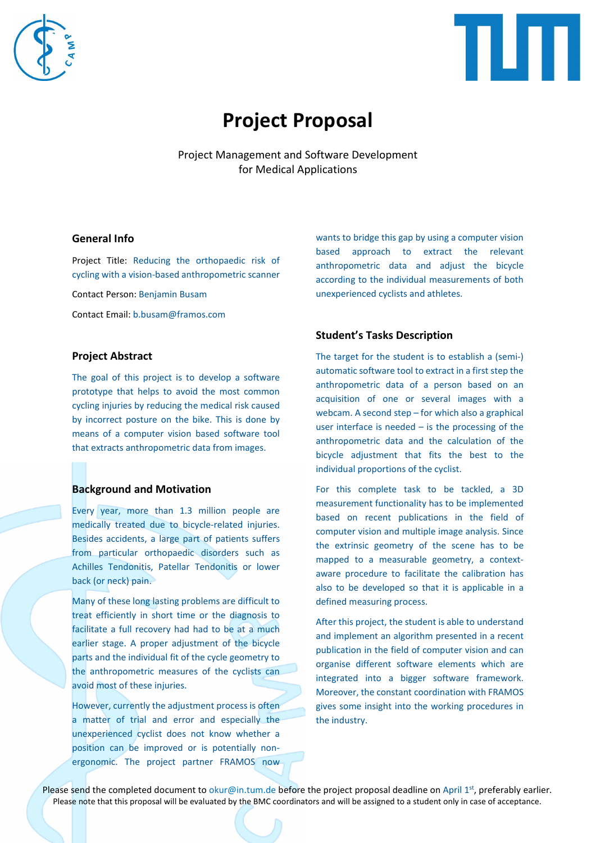



# Project Proposal

Project Management and Software Development for Medical Applications

## General Info

Project Title: Reducing the orthopaedic risk of cycling with a vision-based anthropometric scanner

Contact Person: Benjamin Busam

Contact Email: b.busam@framos.com

## Project Abstract

The goal of this project is to develop a software prototype that helps to avoid the most common cycling injuries by reducing the medical risk caused by incorrect posture on the bike. This is done by means of a computer vision based software tool that extracts anthropometric data from images.

### Background and Motivation

Every year, more than 1.3 million people are medically treated due to bicycle-related injuries. Besides accidents, a large part of patients suffers from particular orthopaedic disorders such as Achilles Tendonitis, Patellar Tendonitis or lower back (or neck) pain.

Many of these long lasting problems are difficult to treat efficiently in short time or the diagnosis to facilitate a full recovery had had to be at a much earlier stage. A proper adjustment of the bicycle parts and the individual fit of the cycle geometry to the anthropometric measures of the cyclists can avoid most of these injuries.

However, currently the adjustment process is often a matter of trial and error and especially the unexperienced cyclist does not know whether a position can be improved or is potentially nonergonomic. The project partner FRAMOS now wants to bridge this gap by using a computer vision based approach to extract the relevant anthropometric data and adjust the bicycle according to the individual measurements of both unexperienced cyclists and athletes.

## Student's Tasks Description

The target for the student is to establish a (semi-) automatic software tool to extract in a first step the anthropometric data of a person based on an acquisition of one or several images with a webcam. A second step – for which also a graphical user interface is needed  $-$  is the processing of the anthropometric data and the calculation of the bicycle adjustment that fits the best to the individual proportions of the cyclist.

For this complete task to be tackled, a 3D measurement functionality has to be implemented based on recent publications in the field of computer vision and multiple image analysis. Since the extrinsic geometry of the scene has to be mapped to a measurable geometry, a contextaware procedure to facilitate the calibration has also to be developed so that it is applicable in a defined measuring process.

After this project, the student is able to understand and implement an algorithm presented in a recent publication in the field of computer vision and can organise different software elements which are integrated into a bigger software framework. Moreover, the constant coordination with FRAMOS gives some insight into the working procedures in the industry.

Please send the completed document to okur@in.tum.de before the project proposal deadline on April 1st, preferably earlier. Please note that this proposal will be evaluated by the BMC coordinators and will be assigned to a student only in case of acceptance.